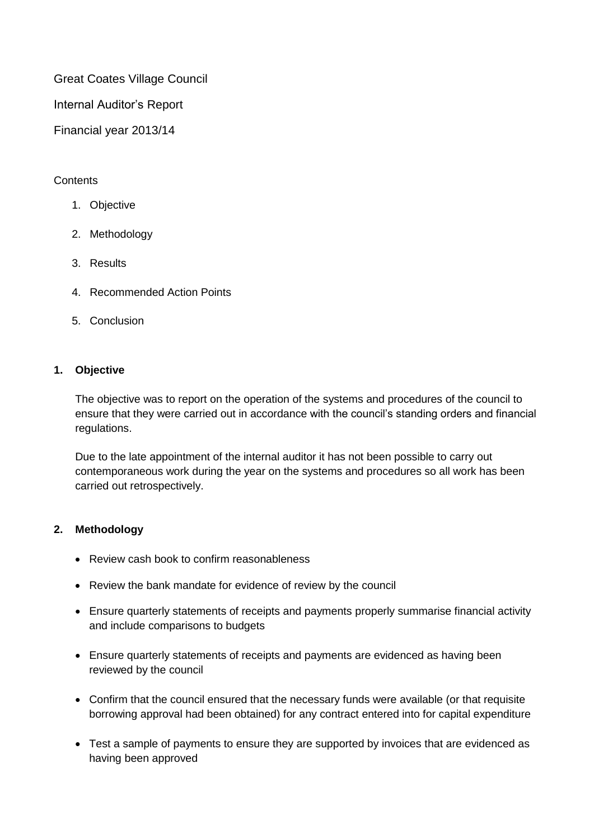Great Coates Village Council

Internal Auditor's Report

Financial year 2013/14

# **Contents**

- 1. Objective
- 2. Methodology
- 3. Results
- 4. Recommended Action Points
- 5. Conclusion

# **1. Objective**

The objective was to report on the operation of the systems and procedures of the council to ensure that they were carried out in accordance with the council's standing orders and financial regulations.

Due to the late appointment of the internal auditor it has not been possible to carry out contemporaneous work during the year on the systems and procedures so all work has been carried out retrospectively.

# **2. Methodology**

- Review cash book to confirm reasonableness
- Review the bank mandate for evidence of review by the council
- Ensure quarterly statements of receipts and payments properly summarise financial activity and include comparisons to budgets
- Ensure quarterly statements of receipts and payments are evidenced as having been reviewed by the council
- Confirm that the council ensured that the necessary funds were available (or that requisite borrowing approval had been obtained) for any contract entered into for capital expenditure
- Test a sample of payments to ensure they are supported by invoices that are evidenced as having been approved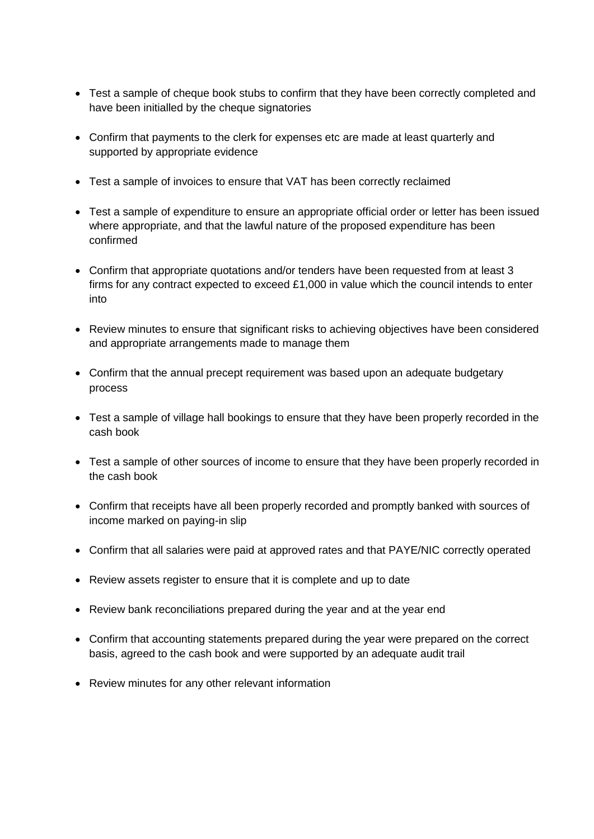- Test a sample of cheque book stubs to confirm that they have been correctly completed and have been initialled by the cheque signatories
- Confirm that payments to the clerk for expenses etc are made at least quarterly and supported by appropriate evidence
- Test a sample of invoices to ensure that VAT has been correctly reclaimed
- Test a sample of expenditure to ensure an appropriate official order or letter has been issued where appropriate, and that the lawful nature of the proposed expenditure has been confirmed
- Confirm that appropriate quotations and/or tenders have been requested from at least 3 firms for any contract expected to exceed £1,000 in value which the council intends to enter into
- Review minutes to ensure that significant risks to achieving objectives have been considered and appropriate arrangements made to manage them
- Confirm that the annual precept requirement was based upon an adequate budgetary process
- Test a sample of village hall bookings to ensure that they have been properly recorded in the cash book
- Test a sample of other sources of income to ensure that they have been properly recorded in the cash book
- Confirm that receipts have all been properly recorded and promptly banked with sources of income marked on paying-in slip
- Confirm that all salaries were paid at approved rates and that PAYE/NIC correctly operated
- Review assets register to ensure that it is complete and up to date
- Review bank reconciliations prepared during the year and at the year end
- Confirm that accounting statements prepared during the year were prepared on the correct basis, agreed to the cash book and were supported by an adequate audit trail
- Review minutes for any other relevant information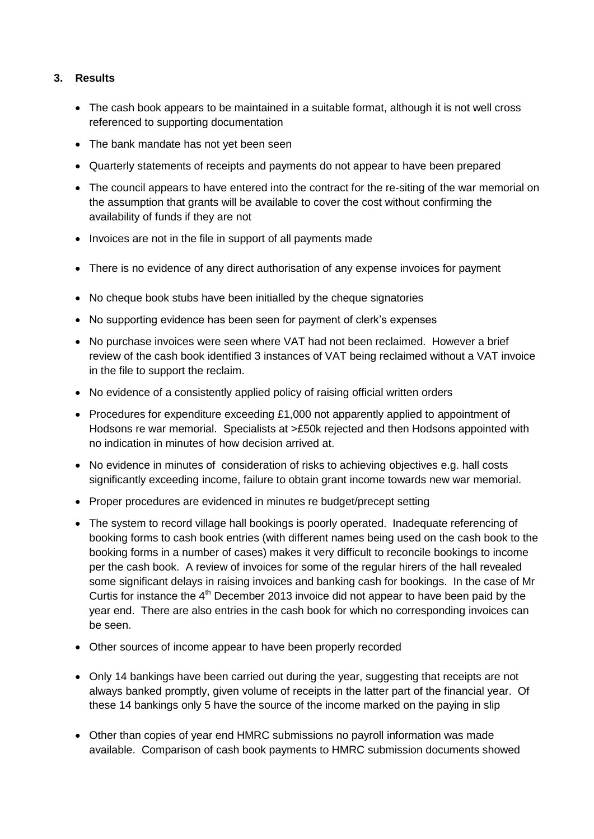# **3. Results**

- The cash book appears to be maintained in a suitable format, although it is not well cross referenced to supporting documentation
- The bank mandate has not yet been seen
- Quarterly statements of receipts and payments do not appear to have been prepared
- The council appears to have entered into the contract for the re-siting of the war memorial on the assumption that grants will be available to cover the cost without confirming the availability of funds if they are not
- Invoices are not in the file in support of all payments made
- There is no evidence of any direct authorisation of any expense invoices for payment
- No cheque book stubs have been initialled by the cheque signatories
- No supporting evidence has been seen for payment of clerk's expenses
- No purchase invoices were seen where VAT had not been reclaimed. However a brief review of the cash book identified 3 instances of VAT being reclaimed without a VAT invoice in the file to support the reclaim.
- No evidence of a consistently applied policy of raising official written orders
- Procedures for expenditure exceeding £1,000 not apparently applied to appointment of Hodsons re war memorial. Specialists at >£50k rejected and then Hodsons appointed with no indication in minutes of how decision arrived at.
- No evidence in minutes of consideration of risks to achieving objectives e.g. hall costs significantly exceeding income, failure to obtain grant income towards new war memorial.
- Proper procedures are evidenced in minutes re budget/precept setting
- The system to record village hall bookings is poorly operated. Inadequate referencing of booking forms to cash book entries (with different names being used on the cash book to the booking forms in a number of cases) makes it very difficult to reconcile bookings to income per the cash book. A review of invoices for some of the regular hirers of the hall revealed some significant delays in raising invoices and banking cash for bookings. In the case of Mr Curtis for instance the  $4<sup>th</sup>$  December 2013 invoice did not appear to have been paid by the year end. There are also entries in the cash book for which no corresponding invoices can be seen.
- Other sources of income appear to have been properly recorded
- Only 14 bankings have been carried out during the year, suggesting that receipts are not always banked promptly, given volume of receipts in the latter part of the financial year. Of these 14 bankings only 5 have the source of the income marked on the paying in slip
- Other than copies of year end HMRC submissions no payroll information was made available. Comparison of cash book payments to HMRC submission documents showed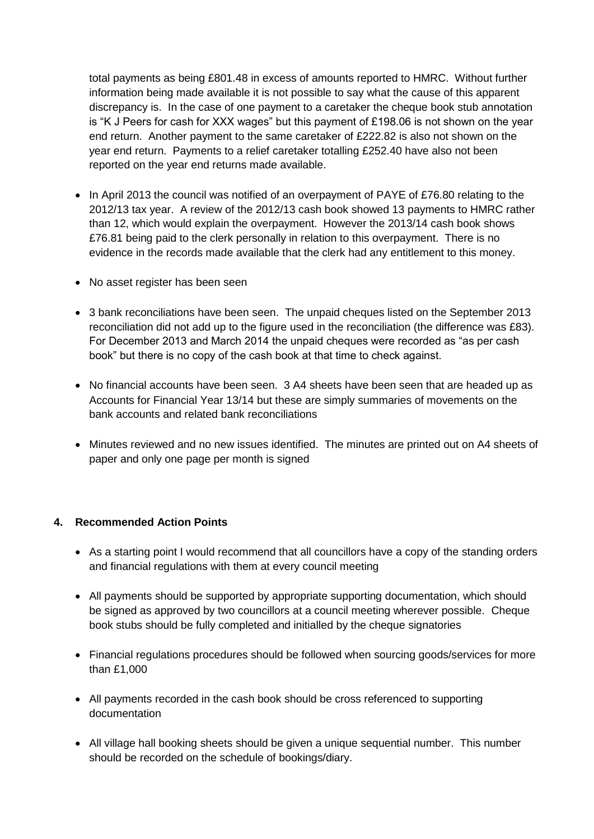total payments as being £801.48 in excess of amounts reported to HMRC. Without further information being made available it is not possible to say what the cause of this apparent discrepancy is. In the case of one payment to a caretaker the cheque book stub annotation is "K J Peers for cash for XXX wages" but this payment of £198.06 is not shown on the year end return. Another payment to the same caretaker of £222.82 is also not shown on the year end return. Payments to a relief caretaker totalling £252.40 have also not been reported on the year end returns made available.

- In April 2013 the council was notified of an overpayment of PAYE of £76.80 relating to the 2012/13 tax year. A review of the 2012/13 cash book showed 13 payments to HMRC rather than 12, which would explain the overpayment. However the 2013/14 cash book shows £76.81 being paid to the clerk personally in relation to this overpayment. There is no evidence in the records made available that the clerk had any entitlement to this money.
- No asset register has been seen
- 3 bank reconciliations have been seen. The unpaid cheques listed on the September 2013 reconciliation did not add up to the figure used in the reconciliation (the difference was £83). For December 2013 and March 2014 the unpaid cheques were recorded as "as per cash book" but there is no copy of the cash book at that time to check against.
- No financial accounts have been seen. 3 A4 sheets have been seen that are headed up as Accounts for Financial Year 13/14 but these are simply summaries of movements on the bank accounts and related bank reconciliations
- Minutes reviewed and no new issues identified. The minutes are printed out on A4 sheets of paper and only one page per month is signed

# **4. Recommended Action Points**

- As a starting point I would recommend that all councillors have a copy of the standing orders and financial regulations with them at every council meeting
- All payments should be supported by appropriate supporting documentation, which should be signed as approved by two councillors at a council meeting wherever possible. Cheque book stubs should be fully completed and initialled by the cheque signatories
- Financial regulations procedures should be followed when sourcing goods/services for more than £1,000
- All payments recorded in the cash book should be cross referenced to supporting documentation
- All village hall booking sheets should be given a unique sequential number. This number should be recorded on the schedule of bookings/diary.